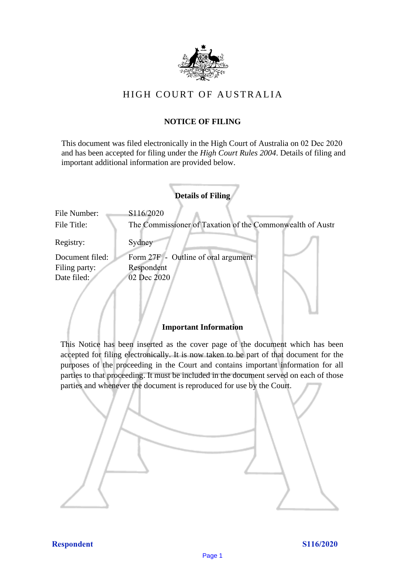

# HIGH COURT OF AU STRALIA HIGH COURT OF AUSTRALIA

### **NOTICE OF FILING** NOTICE OF FILING

This document was filed electronically in the High Court of Australia on 02 Dec 2020 This document was filed electronically in the High Court of Australia <sup>20</sup> and has been accepted for filing under the *High Court Rules 2004*. Details of filing and important additional information are provided below. important additional information are provided below.

|                 | <b>Details of Filing</b>                                  |
|-----------------|-----------------------------------------------------------|
| File Number:    | S116/2020                                                 |
| File Title:     | The Commissioner of Taxation of the Commonwealth of Austr |
| Registry:       | Sydney                                                    |
| Document filed: | Form 27F - Outline of oral argument                       |
| Filing party:   | Respondent                                                |
| Date filed:     | 02 Dec 2020                                               |
|                 |                                                           |

### **Important Information** Important Information

This Notice has been inserted as the cover page of the document which has been accepted for filing electronically. It is now taken to be part of that document for the purposes of the proceeding in the Court and contains important information for all parties to that proceeding. It must be included in the document served on each of those parties and whenever the document is reproduced for use by the Court. parties and whenever the document is reproduced for use by the Court

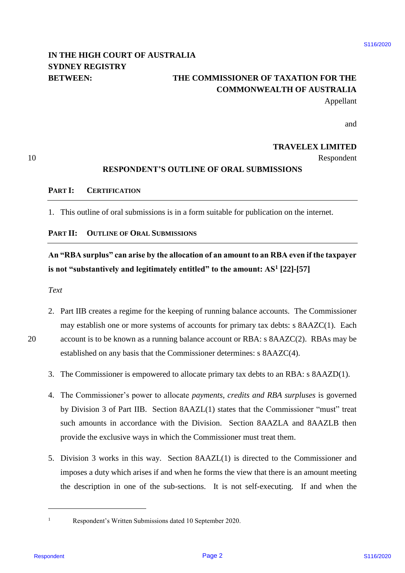# **IN THE HIGH COURT OF AUSTRALIA**  IN THE HIGH COURT OF AUSTRALIA **SYDNEY REGISTRY** SYDNEY REGISTRY

# **BETWEEN: THE COMMISSIONER OF TAXATION FOR THE**  BETWEEN: THE COMMISSIONER OF TAXATION FOR THE **COMMONWEALTH OF AUSTRALIA** COMMONWEALTH OF AUSTRALIA

Appellant Appellant

and and

### **TRAVELEX LIMITED** TRAVELEX LIMITED

10 Respondent Respondent

#### **RESPONDENT'S OUTLINE OF ORAL SUBMISSIONS** RESPONDENT'S OUTLINE OF ORAL SUBMISSIONS

#### **PART I: CERTIFICATION** PARTI: CERTIFICATION

1. This outline of oral submissions is in a form suitable for publication on the internet. .Thisoutline of oral submissions is in <sup>a</sup> form suitable for publication on the internet.

### **PART II: OUTLINE OF ORAL SUBMISSIONS** PART II: OUTLINE OF ORAL SUBMISSIONS

# **An "RBA surplus" can arise by the allocation of an amount to an RBA even if the taxpayer**  An "RBA surplus" can arise by the allocation of an amount to an RBA even if the taxpayer **is not "substantively and legitimately entitled" to the amount: AS<sup>1</sup> [22]-[57]** is not "substantively and legitimately entitled" to the amount: AS! [22]-[57]

#### *Text* Text

20

- 2. Part IIB creates a regime for the keeping of running balance accounts. The Commissioner may establish one or more systems of accounts for primary tax debts: s 8AAZC(1). Each may establish one or more systems of accounts for primary tax debts: <sup>s</sup> 8AAZC(1). Each 20 account is to be known as a running balance account or RBA: s 8AAZC(2). RBAs may be account is to be known as <sup>a</sup> running balance account or RBA: <sup>s</sup> 8AAZC(2). RBAs may be
	- established on any basis that the Commissioner determines: s 8AAZC(4). established on any basis that the Commissioner determines: <sup>s</sup> 8AAZC(4).
	- 3. The Commissioner is empowered to allocate primary tax debts to an RBA: s 8AAZD(1). . The Commissioner is empowered to allocate primary tax debts to an RBA: <sup>s</sup> 8AAZD(1).
- 4. The Commissioner's power to allocate *payments*, *credits and RBA surpluses* is governed .The Commissioner's power to allocate payments, credits and RBA surpluses is governed by Division 3 of Part IIB. Section 8AAZL(1) states that the Commissioner "must" treat by Division <sup>3</sup> of Part HB. Section 8AAZL(1) states that the Commissioner "must" treat such amounts in accordance with the Division. Section 8AAZLA and 8AAZLB then provide the exclusive ways in which the Commissioner must treat them. provide the exclusive ways in which the Commissioner must treat them. IN THE HIGH COURT OF AUSTRALIA THE COMMISSIONER OF TAXATION FOR THE COMMONWEALTH OF ALSTERNATA SPECIAL BETWHERE,<br>
STONEY REGISTRY THE COMMONWEALTH OF AN APPENDIX AND APPEND and<br>
THE COMMONWEALTH OF ALSTERNATA AND APPEND a
	- 5. Division 3 works in this way. Section 8AAZL(1) is directed to the Commissioner and imposes a duty which arises if and when he forms the view that there is an amount meeting imposes <sup>a</sup> duty which arises if and when he forms the view that there is an amount meeting the description in one of the sub-sections. It is not self-executing. If and when the the description in one of the sub-sections. It is not self-executing. If and when the

 $\overline{a}$ 

<sup>1</sup> Respondent's Written Submissions dated 10 September 2020. Respondent's Written Submissions dated 10 September 2020.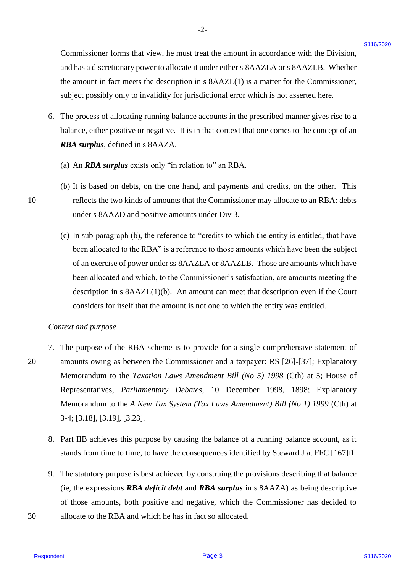Commissioner forms that view, he must treat the amount in accordance with the Division, Commissioner forms that view, he must treat the amount in accordance with the Division, and has a discretionary power to allocate it under either s 8AAZLA or s 8AAZLB. Whether the amount in fact meets the description in s 8AAZL(1) is a matter for the Commissioner, the amount in fact meets the description in <sup>s</sup> 8AAZL(1) is <sup>a</sup> matter for the Commissioner, subject possibly only to invalidity for jurisdictional error which is not asserted here. subject possibly only to invalidity for jurisdictional error which is not asserted here.

-2- -2-

- 6. The process of allocating running balance accounts in the prescribed manner gives rise to a The process of allocating running balance accounts in the prescribed manner gives rise to a balance, either positive or negative. It is in that context that one comes to the concept of an balance, either positive or negative. It is in that context that one comes to the concept of an *RBA surplus*, defined in s 8AAZA. RBA surplus, defined in <sup>s</sup> 8AAZA.
	- (a) An *RBA surplus* exists only "in relation to" an RBA.
- (b) It is based on debts, on the one hand, and payments and credits, on the other. This (b) It is based on debts, on the one hand, and payments and credits, on the other. This 10 reflects the two kinds of amounts that the Commissioner may allocate to an RBA: debts under s 8AAZD and positive amounts under Div 3.
	- (c) In sub-paragraph (b), the reference to "credits to which the entity is entitled, that have (c) In sub-paragraph (b), the reference to "credits to which the entity is entitled, that have been allocated to the RBA" is a reference to those amounts which have been the subject been allocated to the RBA" is <sup>a</sup> reference to those amounts which have been the subject of an exercise of power under ss 8AAZLA or 8AAZLB. Those are amounts which have been allocated and which, to the Commissioner's satisfaction, are amounts meeting the been allocated and which, to the Commissioner's satisfaction, are amounts meeting the description in s  $8AAZL(1)(b)$ . An amount can meet that description even if the Court considers for itself that the amount is not one to which the entity was entitled. considers for itself that the amount is not one to which the entity was entitled.

#### *Context and purpose* Context and purpose

- 7. The purpose of the RBA scheme is to provide for a single comprehensive statement of The purpose of the RBA scheme is to provide for a single comprehensive statement of 20 amounts owing as between the Commissioner and a taxpayer: RS [26]-[37]; Explanatory amounts owing as between the Commissioner and <sup>a</sup> taxpayer: RS [26]-[37]; Explanatory Memorandum to the *Taxation Laws Amendment Bill (No 5) 1998* (Cth) at 5; House of Memorandum to the Taxation Laws Amendment Bill (No 5) 1998 (Cth) at 5; House of Representatives, *Parliamentary Debates*, 10 December 1998, 1898; Explanatory Representatives, Parliamentary Debates, 10 December 1998, 1898; Explanatory Memorandum to the *A New Tax System (Tax Laws Amendment) Bill (No 1) 1999* (Cth) at Memorandum to the <sup>A</sup> New Tax System (Tax Laws Amendment) Bill (No 1) 1999 (Cth) at 3-4; [3.18], [3.19], [3.23]. 3-4; [3.18], [3.19], [3.23]. Commissioner found that view, he must treat the anosant in accordance with the Division,<br>
and the an abeveloped the multicalistic interference in the contrast of the Commissions,<br>
the anosotic in fact uses the description
	- 8. Part IIB achieves this purpose by causing the balance of a running balance account, as it Part IIB achieves this purpose by causing the balance of <sup>a</sup> running balance account, as it stands from time to time, to have the consequences identified by Steward J at FFC [167]ff. stands from time to time, to have the consequences identified by Steward J at FFC [167] ff.
	- 9. The statutory purpose is best achieved by construing the provisions describing that balance The statutory purpose is best achieved by construing the provisions describing that balance (ie, the expressions *RBA deficit debt* and *RBA surplus* in s 8AAZA) as being descriptive (ie, the expressions RBA deficit debt and RBA surplus in <sup>s</sup> 8AAZA) as being descriptive of those amounts, both positive and negative, which the Commissioner has decided to
- 30 allocate to the RBA and which he has in fact so allocated. allocate to the RBA and which he has in fact so allocated. 30

10